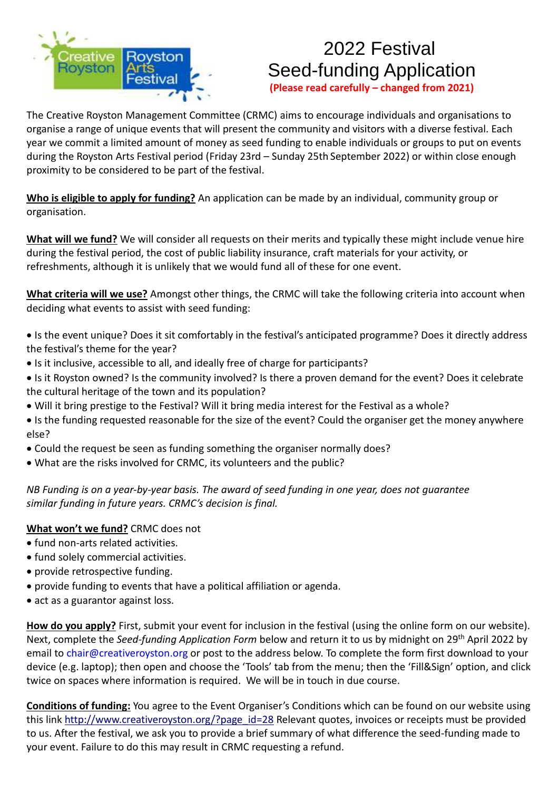

## 2022 Festival Seed-funding Application

**(Please read carefully – changed from 2021)**

The Creative Royston Management Committee (CRMC) aims to encourage individuals and organisations to organise a range of unique events that will present the community and visitors with a diverse festival. Each year we commit a limited amount of money as seed funding to enable individuals or groups to put on events during the Royston Arts Festival period (Friday 23rd – Sunday 25th September 2022) or within close enough proximity to be considered to be part of the festival.

**Who is eligible to apply for funding?** An application can be made by an individual, community group or organisation.

**What will we fund?** We will consider all requests on their merits and typically these might include venue hire during the festival period, the cost of public liability insurance, craft materials for your activity, or refreshments, although it is unlikely that we would fund all of these for one event.

**What criteria will we use?** Amongst other things, the CRMC will take the following criteria into account when deciding what events to assist with seed funding:

- Is the event unique? Does it sit comfortably in the festival's anticipated programme? Does it directly address the festival's theme for the year?
- Is it inclusive, accessible to all, and ideally free of charge for participants?
- Is it Royston owned? Is the community involved? Is there a proven demand for the event? Does it celebrate the cultural heritage of the town and its population?
- Will it bring prestige to the Festival? Will it bring media interest for the Festival as a whole?
- Is the funding requested reasonable for the size of the event? Could the organiser get the money anywhere else?
- Could the request be seen as funding something the organiser normally does?
- What are the risks involved for CRMC, its volunteers and the public?

*NB Funding is on a year-by-year basis. The award of seed funding in one year, does not guarantee similar funding in future years. CRMC's decision is final.*

## **What won't we fund?** CRMC does not

- fund non-arts related activities.
- fund solely commercial activities.
- provide retrospective funding.
- provide funding to events that have a political affiliation or agenda.
- act as a guarantor against loss.

**How do you apply?** First, submit your event for inclusion in the festival (using the online form on our website). Next, complete the *Seed-funding Application Form* below and return it to us by midnight on 29th April 2022 by email to chair@creativeroyston.org or post to the address below. To complete the form first download to your device (e.g. laptop); then open and choose the 'Tools' tab from the menu; then the 'Fill&Sign' option, and click twice on spaces where information is required. We will be in touch in due course.

**Conditions of funding:** You agree to the Event Organiser's Conditions which can be found on our website using this link [http://www.creativeroyston.org/?page\\_id=28](http://www.creativeroyston.org/?page_id=28) Relevant quotes, invoices or receipts must be provided to us. After the festival, we ask you to provide a brief summary of what difference the seed-funding made to your event. Failure to do this may result in CRMC requesting a refund.